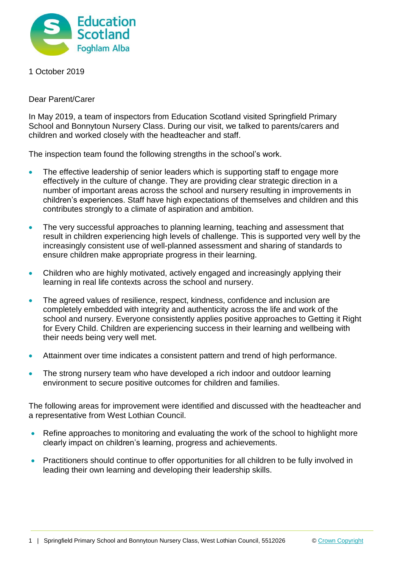

1 October 2019

Dear Parent/Carer

In May 2019, a team of inspectors from Education Scotland visited Springfield Primary School and Bonnytoun Nursery Class. During our visit, we talked to parents/carers and children and worked closely with the headteacher and staff.

The inspection team found the following strengths in the school's work.

- The effective leadership of senior leaders which is supporting staff to engage more effectively in the culture of change. They are providing clear strategic direction in a number of important areas across the school and nursery resulting in improvements in children's experiences. Staff have high expectations of themselves and children and this contributes strongly to a climate of aspiration and ambition.
- The very successful approaches to planning learning, teaching and assessment that result in children experiencing high levels of challenge. This is supported very well by the increasingly consistent use of well-planned assessment and sharing of standards to ensure children make appropriate progress in their learning.
- Children who are highly motivated, actively engaged and increasingly applying their learning in real life contexts across the school and nursery.
- The agreed values of resilience, respect, kindness, confidence and inclusion are completely embedded with integrity and authenticity across the life and work of the school and nursery. Everyone consistently applies positive approaches to Getting it Right for Every Child. Children are experiencing success in their learning and wellbeing with their needs being very well met.
- Attainment over time indicates a consistent pattern and trend of high performance.
- The strong nursery team who have developed a rich indoor and outdoor learning environment to secure positive outcomes for children and families.

The following areas for improvement were identified and discussed with the headteacher and a representative from West Lothian Council.

- Refine approaches to monitoring and evaluating the work of the school to highlight more clearly impact on children's learning, progress and achievements.
- Practitioners should continue to offer opportunities for all children to be fully involved in leading their own learning and developing their leadership skills.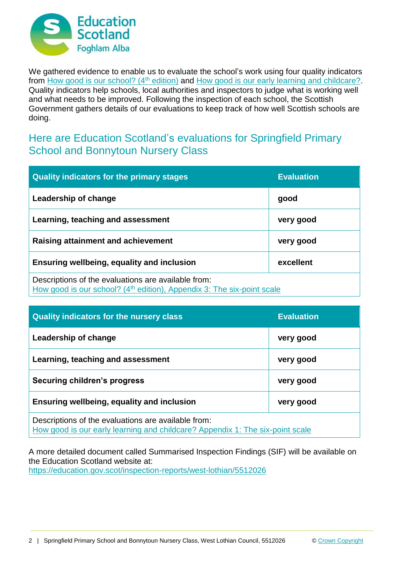

We gathered evidence to enable us to evaluate the school's work using four quality indicators from [How good is our school? \(4](https://education.gov.scot/improvement/Documents/Frameworks_SelfEvaluation/FRWK2_NIHeditHGIOS/FRWK2_HGIOS4.pdf)<sup>th</sup> edition) and [How good is our early learning and childcare?.](https://education.gov.scot/improvement/Documents/Frameworks_SelfEvaluation/FRWK1_NIHeditSelf-evaluationHGIELC/HGIOELC020316Revised.pdf) Quality indicators help schools, local authorities and inspectors to judge what is working well and what needs to be improved. Following the inspection of each school, the Scottish Government gathers details of our evaluations to keep track of how well Scottish schools are doing.

## Here are Education Scotland's evaluations for Springfield Primary School and Bonnytoun Nursery Class

| <b>Quality indicators for the primary stages</b>                                                                                          | <b>Evaluation</b> |
|-------------------------------------------------------------------------------------------------------------------------------------------|-------------------|
| Leadership of change                                                                                                                      | good              |
| Learning, teaching and assessment                                                                                                         | very good         |
| Raising attainment and achievement                                                                                                        | very good         |
| <b>Ensuring wellbeing, equality and inclusion</b>                                                                                         | excellent         |
| Descriptions of the evaluations are available from:<br>How good is our school? (4 <sup>th</sup> edition), Appendix 3: The six-point scale |                   |

| <b>Quality indicators for the nursery class</b>                                                                                      | <b>Evaluation</b> |
|--------------------------------------------------------------------------------------------------------------------------------------|-------------------|
| Leadership of change                                                                                                                 | very good         |
| Learning, teaching and assessment                                                                                                    | very good         |
| <b>Securing children's progress</b>                                                                                                  | very good         |
| Ensuring wellbeing, equality and inclusion                                                                                           | very good         |
| Descriptions of the evaluations are available from:<br>How good is our early learning and childcare? Appendix 1: The six-point scale |                   |

A more detailed document called Summarised Inspection Findings (SIF) will be available on the Education Scotland website at: <https://education.gov.scot/inspection-reports/west-lothian/5512026>